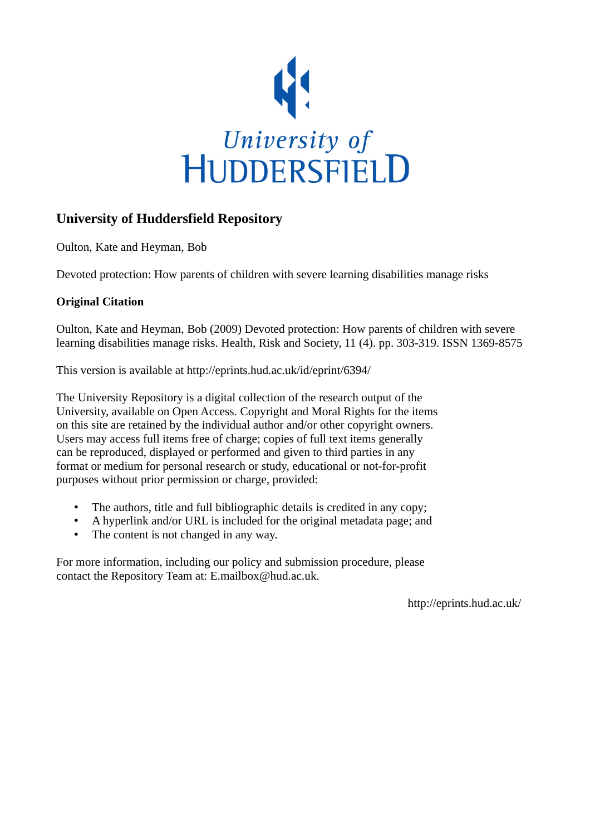

# **University of Huddersfield Repository**

Oulton, Kate and Heyman, Bob

Devoted protection: How parents of children with severe learning disabilities manage risks

## **Original Citation**

Oulton, Kate and Heyman, Bob (2009) Devoted protection: How parents of children with severe learning disabilities manage risks. Health, Risk and Society, 11 (4). pp. 303-319. ISSN 1369-8575

This version is available at http://eprints.hud.ac.uk/id/eprint/6394/

The University Repository is a digital collection of the research output of the University, available on Open Access. Copyright and Moral Rights for the items on this site are retained by the individual author and/or other copyright owners. Users may access full items free of charge; copies of full text items generally can be reproduced, displayed or performed and given to third parties in any format or medium for personal research or study, educational or not-for-profit purposes without prior permission or charge, provided:

- The authors, title and full bibliographic details is credited in any copy;
- A hyperlink and/or URL is included for the original metadata page; and
- The content is not changed in any way.

For more information, including our policy and submission procedure, please contact the Repository Team at: E.mailbox@hud.ac.uk.

http://eprints.hud.ac.uk/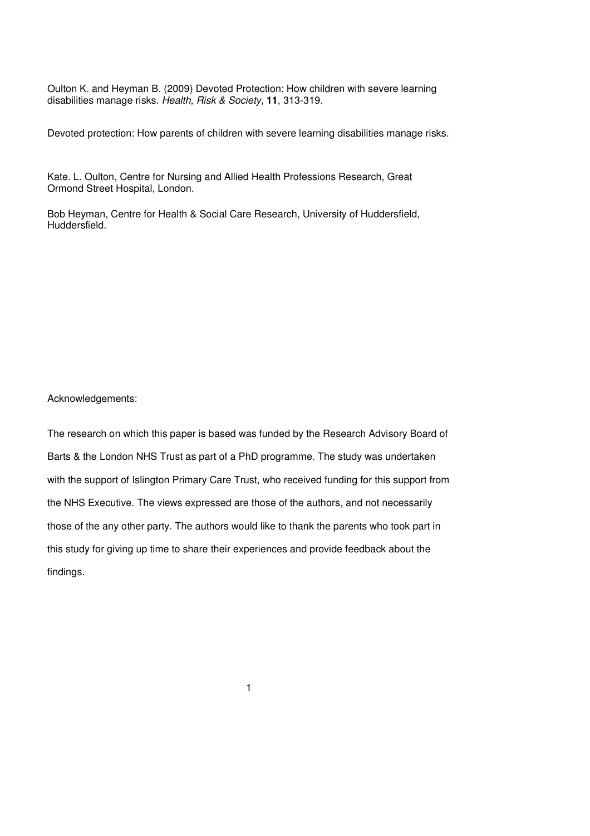Oulton K. and Heyman B. (2009) Devoted Protection: How children with severe learning disabilities manage risks. Health, Risk & Society, **11**, 313-319.

Devoted protection: How parents of children with severe learning disabilities manage risks.

Kate. L. Oulton, Centre for Nursing and Allied Health Professions Research, Great Ormond Street Hospital, London.

Bob Heyman, Centre for Health & Social Care Research, University of Huddersfield, Huddersfield.

Acknowledgements:

The research on which this paper is based was funded by the Research Advisory Board of Barts & the London NHS Trust as part of a PhD programme. The study was undertaken with the support of Islington Primary Care Trust, who received funding for this support from the NHS Executive. The views expressed are those of the authors, and not necessarily those of the any other party. The authors would like to thank the parents who took part in this study for giving up time to share their experiences and provide feedback about the findings.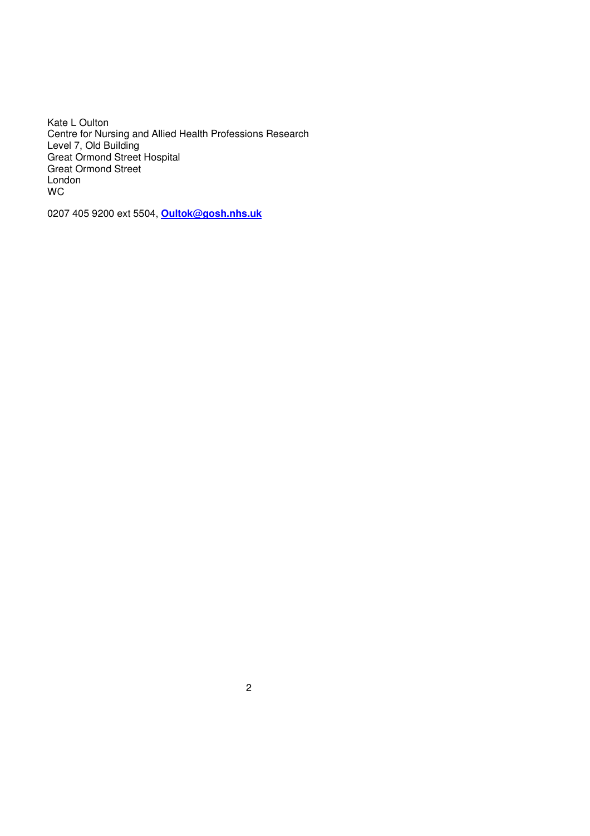Kate L Oulton Centre for Nursing and Allied Health Professions Research Level 7, Old Building Great Ormond Street Hospital Great Ormond Street **London** WC

0207 405 9200 ext 5504, **Oultok@gosh.nhs.uk**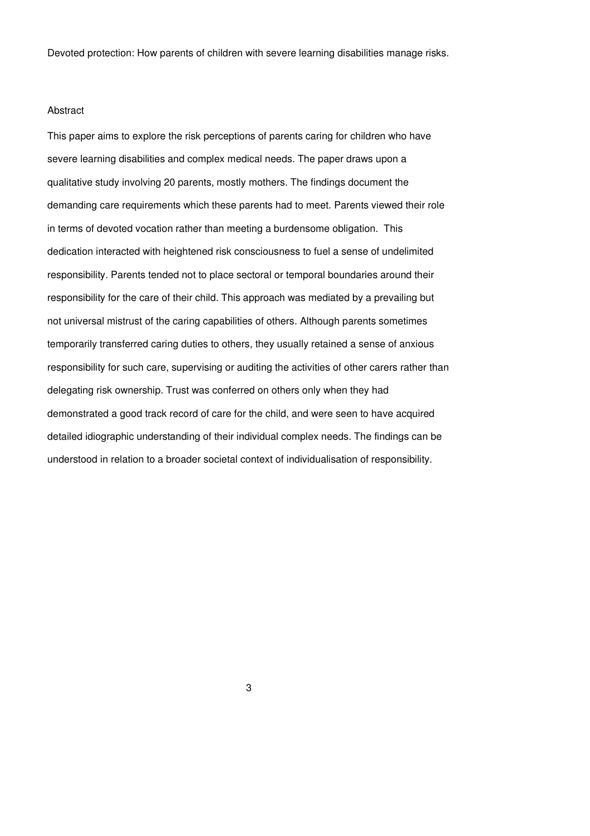Devoted protection: How parents of children with severe learning disabilities manage risks.

#### Abstract

This paper aims to explore the risk perceptions of parents caring for children who have severe learning disabilities and complex medical needs. The paper draws upon a qualitative study involving 20 parents, mostly mothers. The findings document the demanding care requirements which these parents had to meet. Parents viewed their role in terms of devoted vocation rather than meeting a burdensome obligation. This dedication interacted with heightened risk consciousness to fuel a sense of undelimited responsibility. Parents tended not to place sectoral or temporal boundaries around their responsibility for the care of their child. This approach was mediated by a prevailing but not universal mistrust of the caring capabilities of others. Although parents sometimes temporarily transferred caring duties to others, they usually retained a sense of anxious responsibility for such care, supervising or auditing the activities of other carers rather than delegating risk ownership. Trust was conferred on others only when they had demonstrated a good track record of care for the child, and were seen to have acquired detailed idiographic understanding of their individual complex needs. The findings can be understood in relation to a broader societal context of individualisation of responsibility.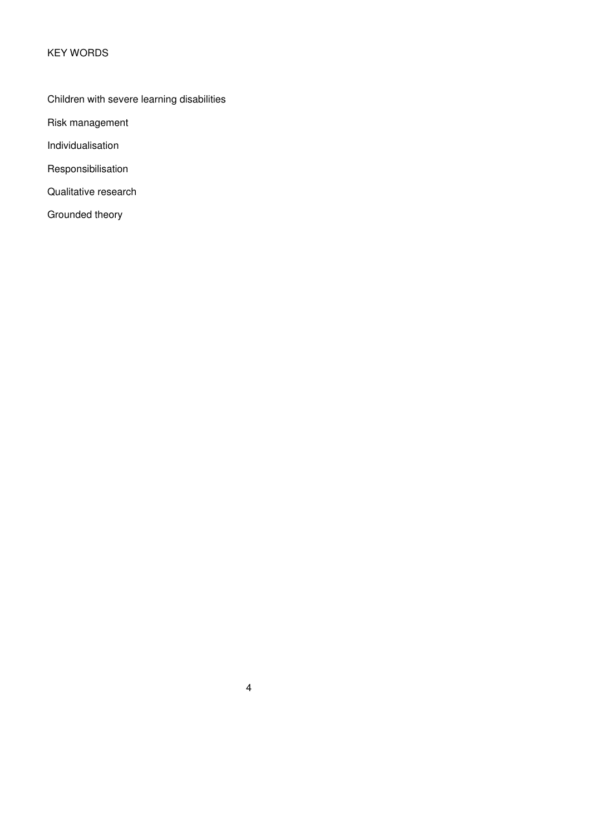## KEY WORDS

# Children with severe learning disabilities

Risk management

Individualisation

Responsibilisation

Qualitative research

Grounded theory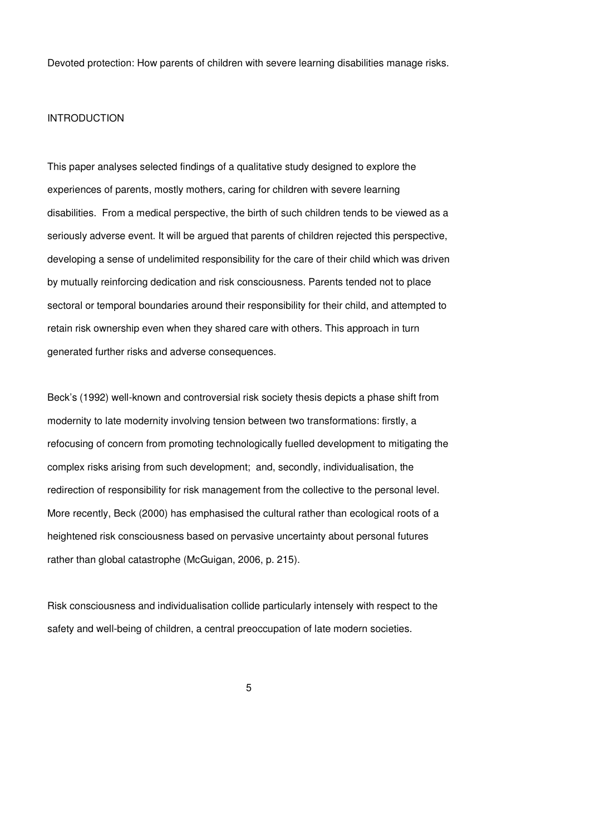Devoted protection: How parents of children with severe learning disabilities manage risks.

### INTRODUCTION

This paper analyses selected findings of a qualitative study designed to explore the experiences of parents, mostly mothers, caring for children with severe learning disabilities. From a medical perspective, the birth of such children tends to be viewed as a seriously adverse event. It will be argued that parents of children rejected this perspective, developing a sense of undelimited responsibility for the care of their child which was driven by mutually reinforcing dedication and risk consciousness. Parents tended not to place sectoral or temporal boundaries around their responsibility for their child, and attempted to retain risk ownership even when they shared care with others. This approach in turn generated further risks and adverse consequences.

Beck's (1992) well-known and controversial risk society thesis depicts a phase shift from modernity to late modernity involving tension between two transformations: firstly, a refocusing of concern from promoting technologically fuelled development to mitigating the complex risks arising from such development; and, secondly, individualisation, the redirection of responsibility for risk management from the collective to the personal level. More recently, Beck (2000) has emphasised the cultural rather than ecological roots of a heightened risk consciousness based on pervasive uncertainty about personal futures rather than global catastrophe (McGuigan, 2006, p. 215).

Risk consciousness and individualisation collide particularly intensely with respect to the safety and well-being of children, a central preoccupation of late modern societies.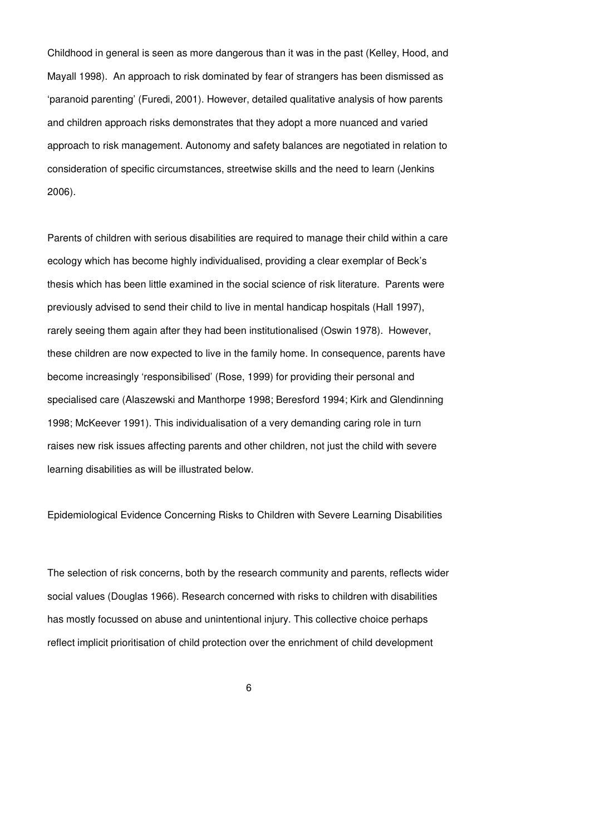Childhood in general is seen as more dangerous than it was in the past (Kelley, Hood, and Mayall 1998). An approach to risk dominated by fear of strangers has been dismissed as 'paranoid parenting' (Furedi, 2001). However, detailed qualitative analysis of how parents and children approach risks demonstrates that they adopt a more nuanced and varied approach to risk management. Autonomy and safety balances are negotiated in relation to consideration of specific circumstances, streetwise skills and the need to learn (Jenkins 2006).

Parents of children with serious disabilities are required to manage their child within a care ecology which has become highly individualised, providing a clear exemplar of Beck's thesis which has been little examined in the social science of risk literature. Parents were previously advised to send their child to live in mental handicap hospitals (Hall 1997), rarely seeing them again after they had been institutionalised (Oswin 1978). However, these children are now expected to live in the family home. In consequence, parents have become increasingly 'responsibilised' (Rose, 1999) for providing their personal and specialised care (Alaszewski and Manthorpe 1998; Beresford 1994; Kirk and Glendinning 1998; McKeever 1991). This individualisation of a very demanding caring role in turn raises new risk issues affecting parents and other children, not just the child with severe learning disabilities as will be illustrated below.

Epidemiological Evidence Concerning Risks to Children with Severe Learning Disabilities

The selection of risk concerns, both by the research community and parents, reflects wider social values (Douglas 1966). Research concerned with risks to children with disabilities has mostly focussed on abuse and unintentional injury. This collective choice perhaps reflect implicit prioritisation of child protection over the enrichment of child development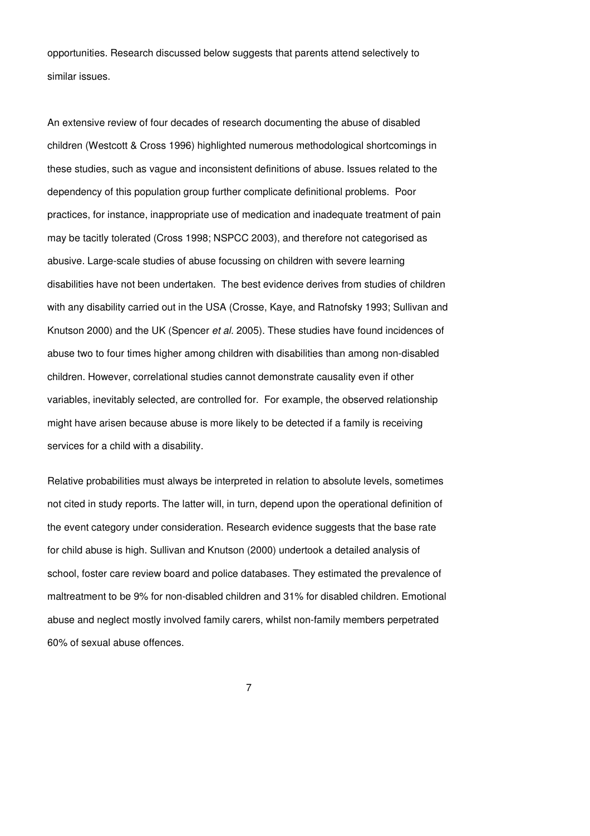opportunities. Research discussed below suggests that parents attend selectively to similar issues.

An extensive review of four decades of research documenting the abuse of disabled children (Westcott & Cross 1996) highlighted numerous methodological shortcomings in these studies, such as vague and inconsistent definitions of abuse. Issues related to the dependency of this population group further complicate definitional problems. Poor practices, for instance, inappropriate use of medication and inadequate treatment of pain may be tacitly tolerated (Cross 1998; NSPCC 2003), and therefore not categorised as abusive. Large-scale studies of abuse focussing on children with severe learning disabilities have not been undertaken. The best evidence derives from studies of children with any disability carried out in the USA (Crosse, Kaye, and Ratnofsky 1993; Sullivan and Knutson 2000) and the UK (Spencer et al. 2005). These studies have found incidences of abuse two to four times higher among children with disabilities than among non-disabled children. However, correlational studies cannot demonstrate causality even if other variables, inevitably selected, are controlled for. For example, the observed relationship might have arisen because abuse is more likely to be detected if a family is receiving services for a child with a disability.

Relative probabilities must always be interpreted in relation to absolute levels, sometimes not cited in study reports. The latter will, in turn, depend upon the operational definition of the event category under consideration. Research evidence suggests that the base rate for child abuse is high. Sullivan and Knutson (2000) undertook a detailed analysis of school, foster care review board and police databases. They estimated the prevalence of maltreatment to be 9% for non-disabled children and 31% for disabled children. Emotional abuse and neglect mostly involved family carers, whilst non-family members perpetrated 60% of sexual abuse offences.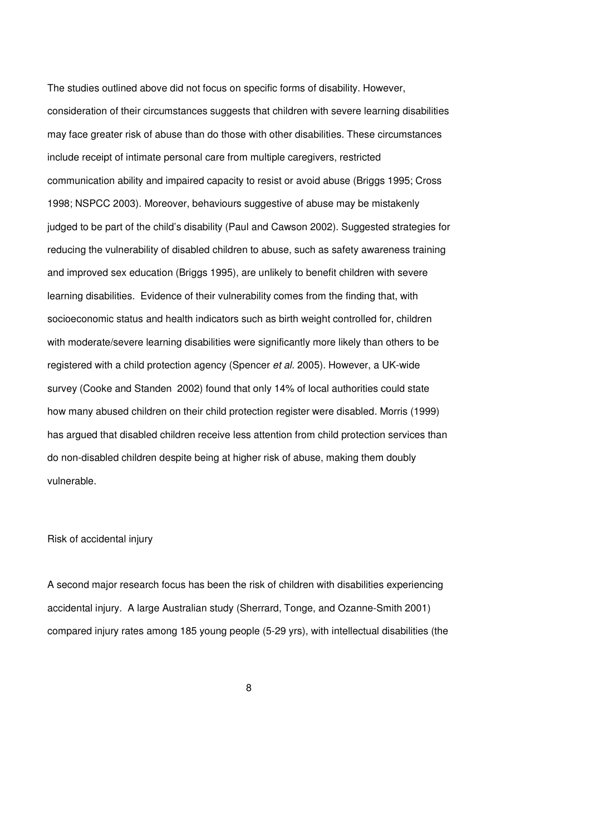The studies outlined above did not focus on specific forms of disability. However, consideration of their circumstances suggests that children with severe learning disabilities may face greater risk of abuse than do those with other disabilities. These circumstances include receipt of intimate personal care from multiple caregivers, restricted communication ability and impaired capacity to resist or avoid abuse (Briggs 1995; Cross 1998; NSPCC 2003). Moreover, behaviours suggestive of abuse may be mistakenly judged to be part of the child's disability (Paul and Cawson 2002). Suggested strategies for reducing the vulnerability of disabled children to abuse, such as safety awareness training and improved sex education (Briggs 1995), are unlikely to benefit children with severe learning disabilities. Evidence of their vulnerability comes from the finding that, with socioeconomic status and health indicators such as birth weight controlled for, children with moderate/severe learning disabilities were significantly more likely than others to be registered with a child protection agency (Spencer et al. 2005). However, a UK-wide survey (Cooke and Standen 2002) found that only 14% of local authorities could state how many abused children on their child protection register were disabled. Morris (1999) has argued that disabled children receive less attention from child protection services than do non-disabled children despite being at higher risk of abuse, making them doubly vulnerable.

### Risk of accidental injury

A second major research focus has been the risk of children with disabilities experiencing accidental injury. A large Australian study (Sherrard, Tonge, and Ozanne-Smith 2001) compared injury rates among 185 young people (5-29 yrs), with intellectual disabilities (the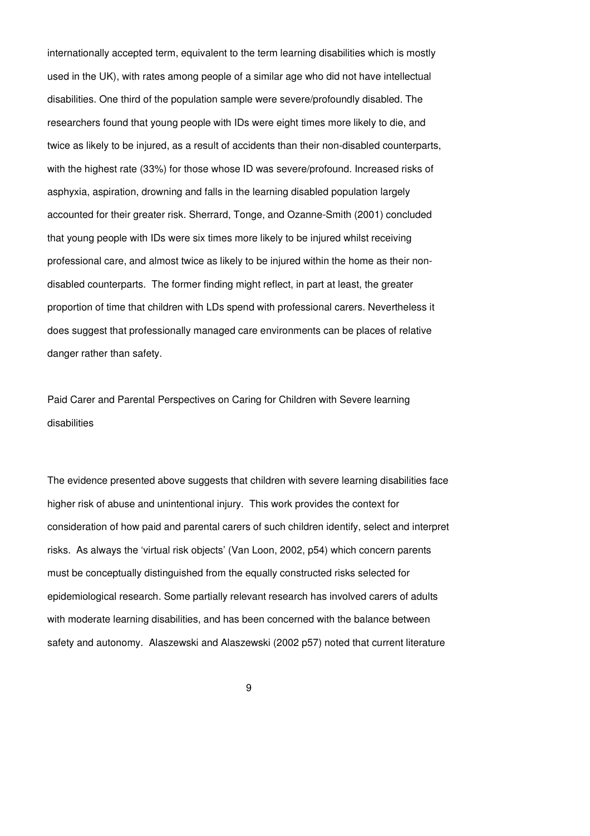internationally accepted term, equivalent to the term learning disabilities which is mostly used in the UK), with rates among people of a similar age who did not have intellectual disabilities. One third of the population sample were severe/profoundly disabled. The researchers found that young people with IDs were eight times more likely to die, and twice as likely to be injured, as a result of accidents than their non-disabled counterparts, with the highest rate (33%) for those whose ID was severe/profound. Increased risks of asphyxia, aspiration, drowning and falls in the learning disabled population largely accounted for their greater risk. Sherrard, Tonge, and Ozanne-Smith (2001) concluded that young people with IDs were six times more likely to be injured whilst receiving professional care, and almost twice as likely to be injured within the home as their nondisabled counterparts. The former finding might reflect, in part at least, the greater proportion of time that children with LDs spend with professional carers. Nevertheless it does suggest that professionally managed care environments can be places of relative danger rather than safety.

Paid Carer and Parental Perspectives on Caring for Children with Severe learning disabilities

The evidence presented above suggests that children with severe learning disabilities face higher risk of abuse and unintentional injury. This work provides the context for consideration of how paid and parental carers of such children identify, select and interpret risks. As always the 'virtual risk objects' (Van Loon, 2002, p54) which concern parents must be conceptually distinguished from the equally constructed risks selected for epidemiological research. Some partially relevant research has involved carers of adults with moderate learning disabilities, and has been concerned with the balance between safety and autonomy. Alaszewski and Alaszewski (2002 p57) noted that current literature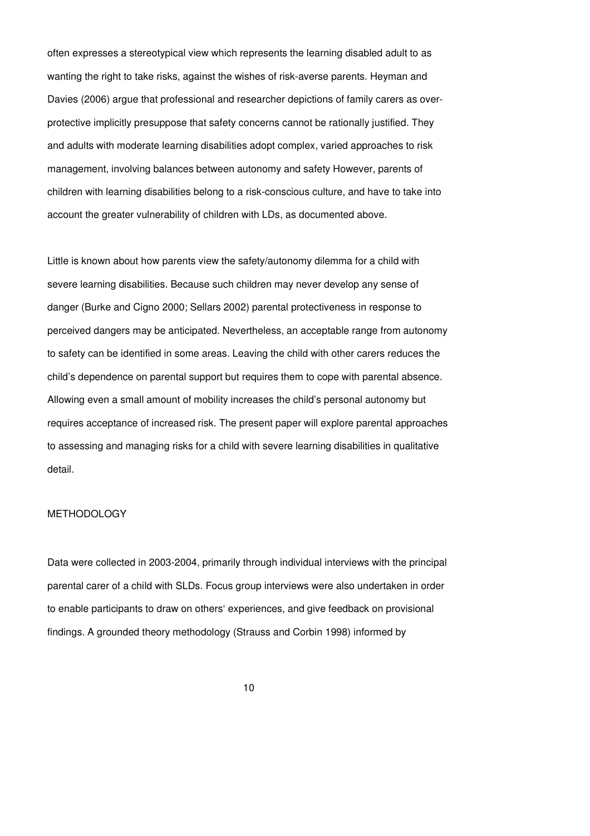often expresses a stereotypical view which represents the learning disabled adult to as wanting the right to take risks, against the wishes of risk-averse parents. Heyman and Davies (2006) argue that professional and researcher depictions of family carers as overprotective implicitly presuppose that safety concerns cannot be rationally justified. They and adults with moderate learning disabilities adopt complex, varied approaches to risk management, involving balances between autonomy and safety However, parents of children with learning disabilities belong to a risk-conscious culture, and have to take into account the greater vulnerability of children with LDs, as documented above.

Little is known about how parents view the safety/autonomy dilemma for a child with severe learning disabilities. Because such children may never develop any sense of danger (Burke and Cigno 2000; Sellars 2002) parental protectiveness in response to perceived dangers may be anticipated. Nevertheless, an acceptable range from autonomy to safety can be identified in some areas. Leaving the child with other carers reduces the child's dependence on parental support but requires them to cope with parental absence. Allowing even a small amount of mobility increases the child's personal autonomy but requires acceptance of increased risk. The present paper will explore parental approaches to assessing and managing risks for a child with severe learning disabilities in qualitative detail.

### METHODOLOGY

Data were collected in 2003-2004, primarily through individual interviews with the principal parental carer of a child with SLDs. Focus group interviews were also undertaken in order to enable participants to draw on others' experiences, and give feedback on provisional findings. A grounded theory methodology (Strauss and Corbin 1998) informed by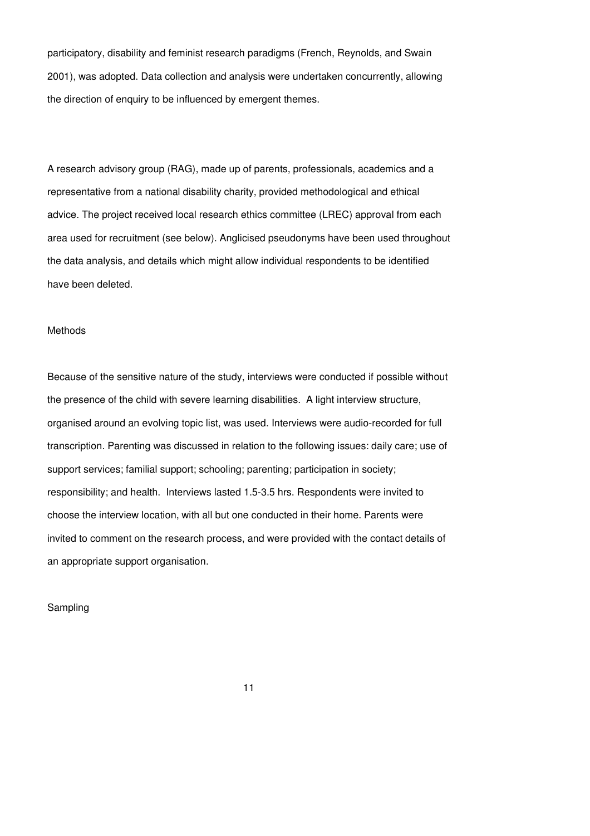participatory, disability and feminist research paradigms (French, Reynolds, and Swain 2001), was adopted. Data collection and analysis were undertaken concurrently, allowing the direction of enquiry to be influenced by emergent themes.

A research advisory group (RAG), made up of parents, professionals, academics and a representative from a national disability charity, provided methodological and ethical advice. The project received local research ethics committee (LREC) approval from each area used for recruitment (see below). Anglicised pseudonyms have been used throughout the data analysis, and details which might allow individual respondents to be identified have been deleted.

#### Methods

Because of the sensitive nature of the study, interviews were conducted if possible without the presence of the child with severe learning disabilities. A light interview structure, organised around an evolving topic list, was used. Interviews were audio-recorded for full transcription. Parenting was discussed in relation to the following issues: daily care; use of support services; familial support; schooling; parenting; participation in society; responsibility; and health. Interviews lasted 1.5-3.5 hrs. Respondents were invited to choose the interview location, with all but one conducted in their home. Parents were invited to comment on the research process, and were provided with the contact details of an appropriate support organisation.

Sampling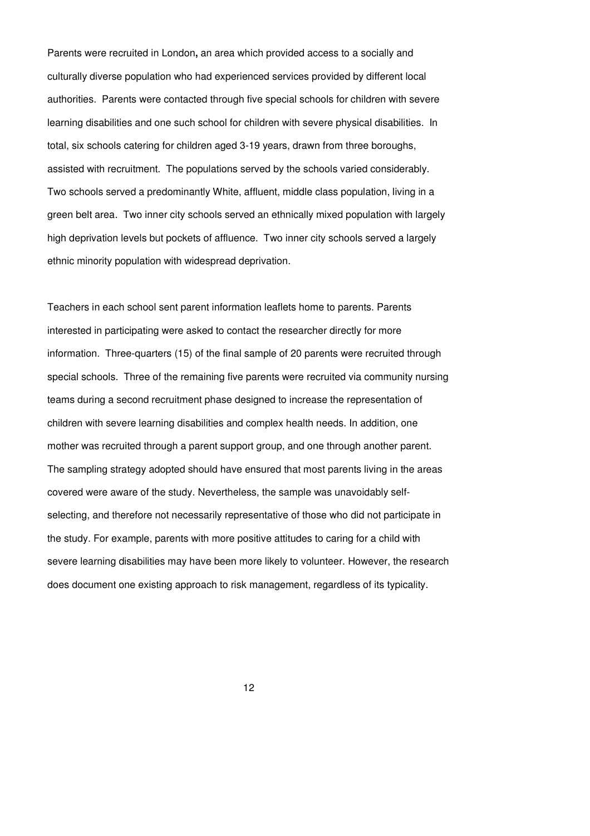Parents were recruited in London**,** an area which provided access to a socially and culturally diverse population who had experienced services provided by different local authorities. Parents were contacted through five special schools for children with severe learning disabilities and one such school for children with severe physical disabilities. In total, six schools catering for children aged 3-19 years, drawn from three boroughs, assisted with recruitment. The populations served by the schools varied considerably. Two schools served a predominantly White, affluent, middle class population, living in a green belt area. Two inner city schools served an ethnically mixed population with largely high deprivation levels but pockets of affluence. Two inner city schools served a largely ethnic minority population with widespread deprivation.

Teachers in each school sent parent information leaflets home to parents. Parents interested in participating were asked to contact the researcher directly for more information. Three-quarters (15) of the final sample of 20 parents were recruited through special schools. Three of the remaining five parents were recruited via community nursing teams during a second recruitment phase designed to increase the representation of children with severe learning disabilities and complex health needs. In addition, one mother was recruited through a parent support group, and one through another parent. The sampling strategy adopted should have ensured that most parents living in the areas covered were aware of the study. Nevertheless, the sample was unavoidably selfselecting, and therefore not necessarily representative of those who did not participate in the study. For example, parents with more positive attitudes to caring for a child with severe learning disabilities may have been more likely to volunteer. However, the research does document one existing approach to risk management, regardless of its typicality.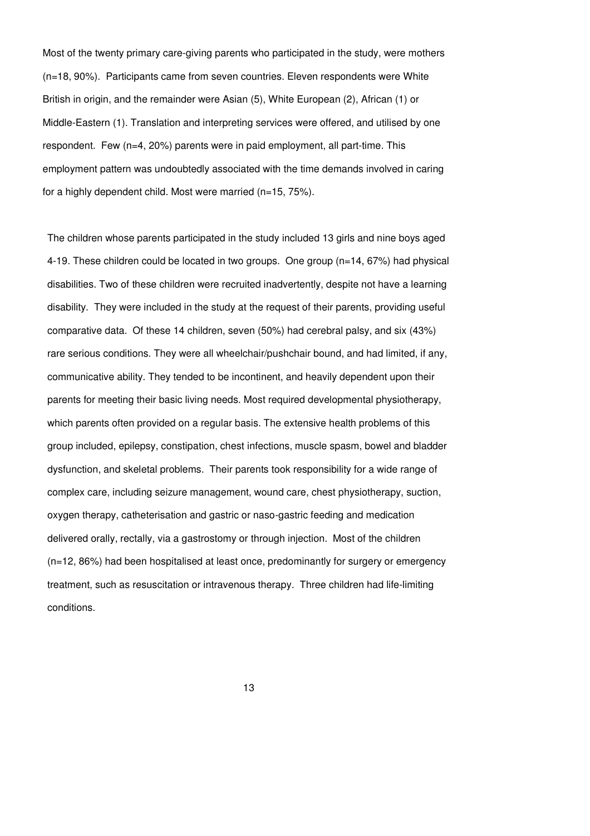Most of the twenty primary care-giving parents who participated in the study, were mothers (n=18, 90%). Participants came from seven countries. Eleven respondents were White British in origin, and the remainder were Asian (5), White European (2), African (1) or Middle-Eastern (1). Translation and interpreting services were offered, and utilised by one respondent. Few (n=4, 20%) parents were in paid employment, all part-time. This employment pattern was undoubtedly associated with the time demands involved in caring for a highly dependent child. Most were married (n=15, 75%).

The children whose parents participated in the study included 13 girls and nine boys aged 4-19. These children could be located in two groups. One group (n=14, 67%) had physical disabilities. Two of these children were recruited inadvertently, despite not have a learning disability. They were included in the study at the request of their parents, providing useful comparative data. Of these 14 children, seven (50%) had cerebral palsy, and six (43%) rare serious conditions. They were all wheelchair/pushchair bound, and had limited, if any, communicative ability. They tended to be incontinent, and heavily dependent upon their parents for meeting their basic living needs. Most required developmental physiotherapy, which parents often provided on a regular basis. The extensive health problems of this group included, epilepsy, constipation, chest infections, muscle spasm, bowel and bladder dysfunction, and skeletal problems. Their parents took responsibility for a wide range of complex care, including seizure management, wound care, chest physiotherapy, suction, oxygen therapy, catheterisation and gastric or naso-gastric feeding and medication delivered orally, rectally, via a gastrostomy or through injection. Most of the children (n=12, 86%) had been hospitalised at least once, predominantly for surgery or emergency treatment, such as resuscitation or intravenous therapy. Three children had life-limiting conditions.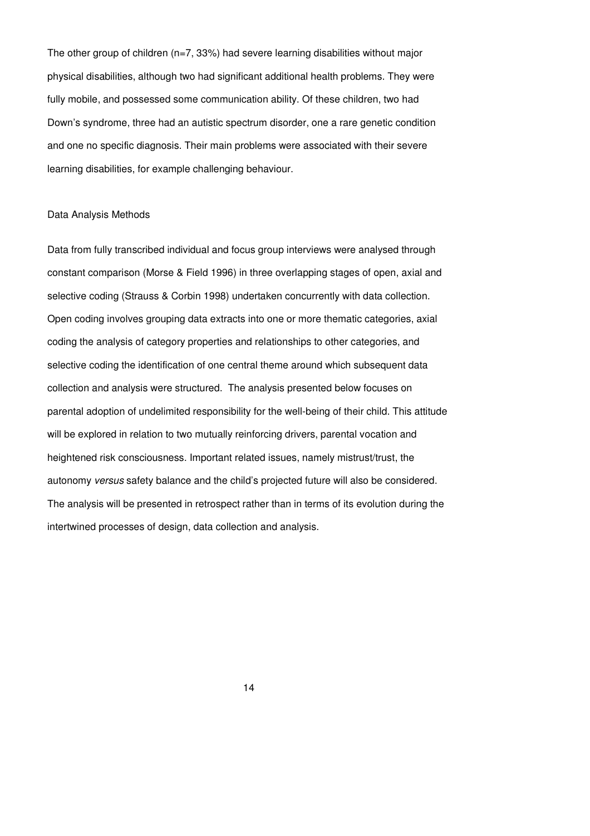The other group of children  $(n=7, 33%)$  had severe learning disabilities without major physical disabilities, although two had significant additional health problems. They were fully mobile, and possessed some communication ability. Of these children, two had Down's syndrome, three had an autistic spectrum disorder, one a rare genetic condition and one no specific diagnosis. Their main problems were associated with their severe learning disabilities, for example challenging behaviour.

#### Data Analysis Methods

Data from fully transcribed individual and focus group interviews were analysed through constant comparison (Morse & Field 1996) in three overlapping stages of open, axial and selective coding (Strauss & Corbin 1998) undertaken concurrently with data collection. Open coding involves grouping data extracts into one or more thematic categories, axial coding the analysis of category properties and relationships to other categories, and selective coding the identification of one central theme around which subsequent data collection and analysis were structured. The analysis presented below focuses on parental adoption of undelimited responsibility for the well-being of their child. This attitude will be explored in relation to two mutually reinforcing drivers, parental vocation and heightened risk consciousness. Important related issues, namely mistrust/trust, the autonomy versus safety balance and the child's projected future will also be considered. The analysis will be presented in retrospect rather than in terms of its evolution during the intertwined processes of design, data collection and analysis.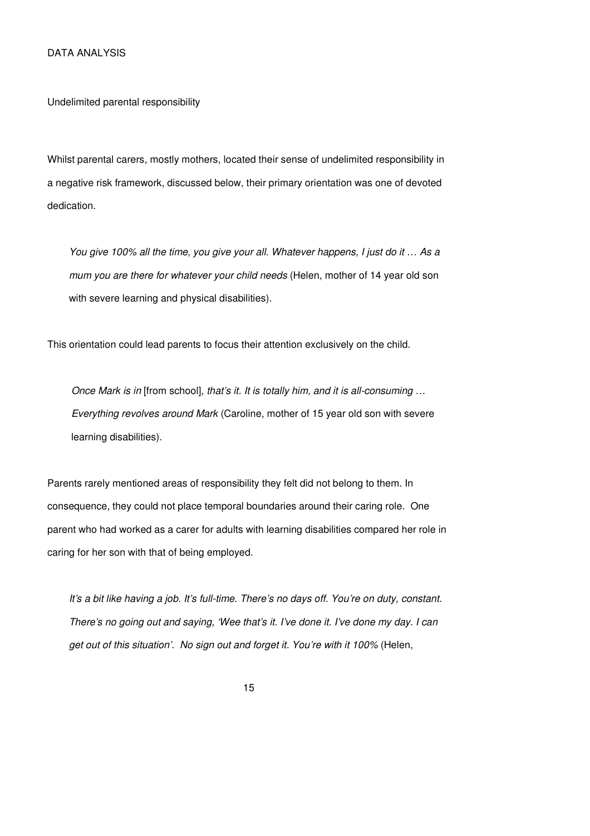Undelimited parental responsibility

Whilst parental carers, mostly mothers, located their sense of undelimited responsibility in a negative risk framework, discussed below, their primary orientation was one of devoted dedication.

You give 100% all the time, you give your all. Whatever happens, I just do it … As a mum you are there for whatever your child needs (Helen, mother of 14 year old son with severe learning and physical disabilities).

This orientation could lead parents to focus their attention exclusively on the child.

Once Mark is in [from school], that's it. It is totally him, and it is all-consuming … Everything revolves around Mark (Caroline, mother of 15 year old son with severe learning disabilities).

Parents rarely mentioned areas of responsibility they felt did not belong to them. In consequence, they could not place temporal boundaries around their caring role. One parent who had worked as a carer for adults with learning disabilities compared her role in caring for her son with that of being employed.

It's a bit like having a job. It's full-time. There's no days off. You're on duty, constant. There's no going out and saying, 'Wee that's it. I've done it. I've done my day. I can get out of this situation'. No sign out and forget it. You're with it 100% (Helen,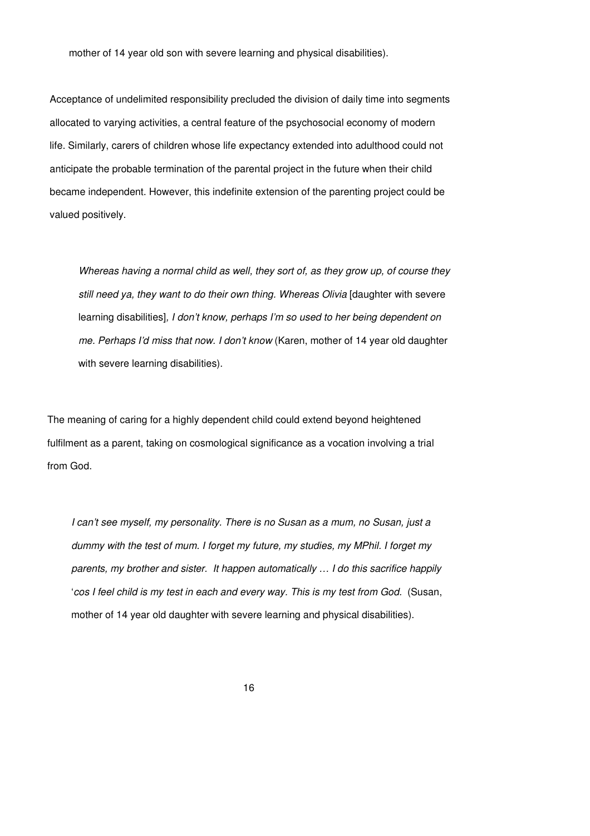mother of 14 year old son with severe learning and physical disabilities).

Acceptance of undelimited responsibility precluded the division of daily time into segments allocated to varying activities, a central feature of the psychosocial economy of modern life. Similarly, carers of children whose life expectancy extended into adulthood could not anticipate the probable termination of the parental project in the future when their child became independent. However, this indefinite extension of the parenting project could be valued positively.

Whereas having a normal child as well, they sort of, as they grow up, of course they still need ya, they want to do their own thing. Whereas Olivia [daughter with severe learning disabilities], I don't know, perhaps I'm so used to her being dependent on me. Perhaps I'd miss that now. I don't know (Karen, mother of 14 year old daughter with severe learning disabilities).

The meaning of caring for a highly dependent child could extend beyond heightened fulfilment as a parent, taking on cosmological significance as a vocation involving a trial from God.

I can't see myself, my personality. There is no Susan as a mum, no Susan, just a dummy with the test of mum. I forget my future, my studies, my MPhil. I forget my parents, my brother and sister. It happen automatically … I do this sacrifice happily 'cos I feel child is my test in each and every way. This is my test from God. (Susan, mother of 14 year old daughter with severe learning and physical disabilities).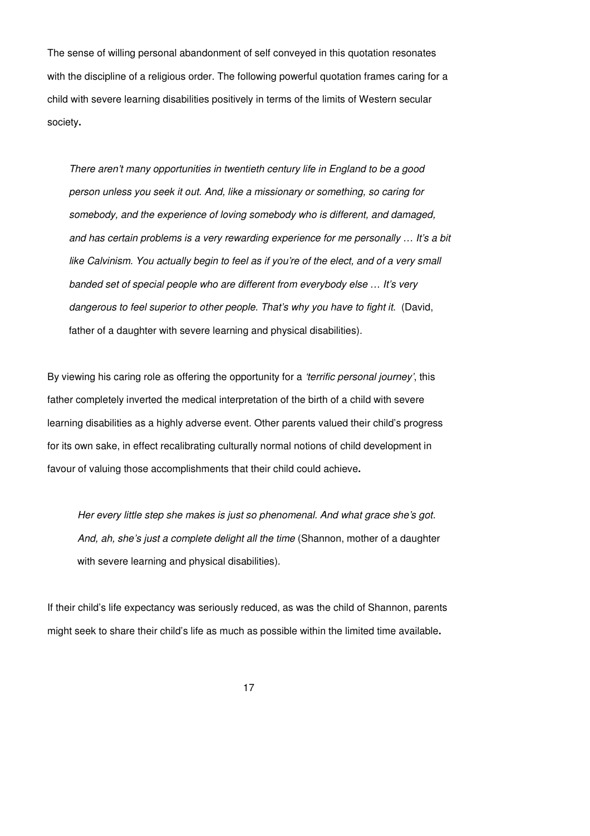The sense of willing personal abandonment of self conveyed in this quotation resonates with the discipline of a religious order. The following powerful quotation frames caring for a child with severe learning disabilities positively in terms of the limits of Western secular society**.**

There aren't many opportunities in twentieth century life in England to be a good person unless you seek it out. And, like a missionary or something, so caring for somebody, and the experience of loving somebody who is different, and damaged, and has certain problems is a very rewarding experience for me personally … It's a bit like Calvinism. You actually begin to feel as if you're of the elect, and of a very small banded set of special people who are different from everybody else … It's very dangerous to feel superior to other people. That's why you have to fight it. (David, father of a daughter with severe learning and physical disabilities).

By viewing his caring role as offering the opportunity for a 'terrific personal journey', this father completely inverted the medical interpretation of the birth of a child with severe learning disabilities as a highly adverse event. Other parents valued their child's progress for its own sake, in effect recalibrating culturally normal notions of child development in favour of valuing those accomplishments that their child could achieve**.**

Her every little step she makes is just so phenomenal. And what grace she's got. And, ah, she's just a complete delight all the time (Shannon, mother of a daughter with severe learning and physical disabilities).

If their child's life expectancy was seriously reduced, as was the child of Shannon, parents might seek to share their child's life as much as possible within the limited time available**.**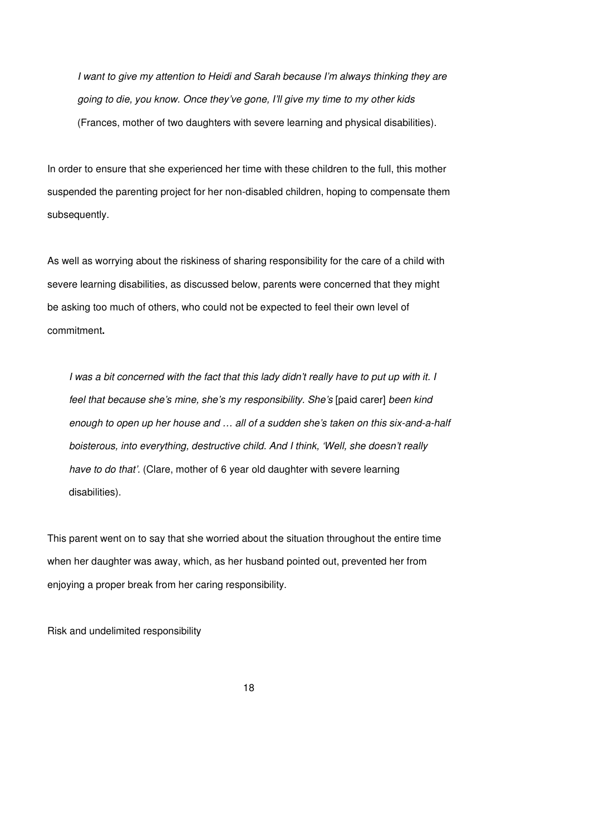I want to give my attention to Heidi and Sarah because I'm always thinking they are going to die, you know. Once they've gone, I'll give my time to my other kids (Frances, mother of two daughters with severe learning and physical disabilities).

In order to ensure that she experienced her time with these children to the full, this mother suspended the parenting project for her non-disabled children, hoping to compensate them subsequently.

As well as worrying about the riskiness of sharing responsibility for the care of a child with severe learning disabilities, as discussed below, parents were concerned that they might be asking too much of others, who could not be expected to feel their own level of commitment**.**

I was a bit concerned with the fact that this lady didn't really have to put up with it. I feel that because she's mine, she's my responsibility. She's [paid carer] been kind enough to open up her house and … all of a sudden she's taken on this six-and-a-half boisterous, into everything, destructive child. And I think, 'Well, she doesn't really have to do that'. (Clare, mother of 6 year old daughter with severe learning disabilities).

This parent went on to say that she worried about the situation throughout the entire time when her daughter was away, which, as her husband pointed out, prevented her from enjoying a proper break from her caring responsibility.

Risk and undelimited responsibility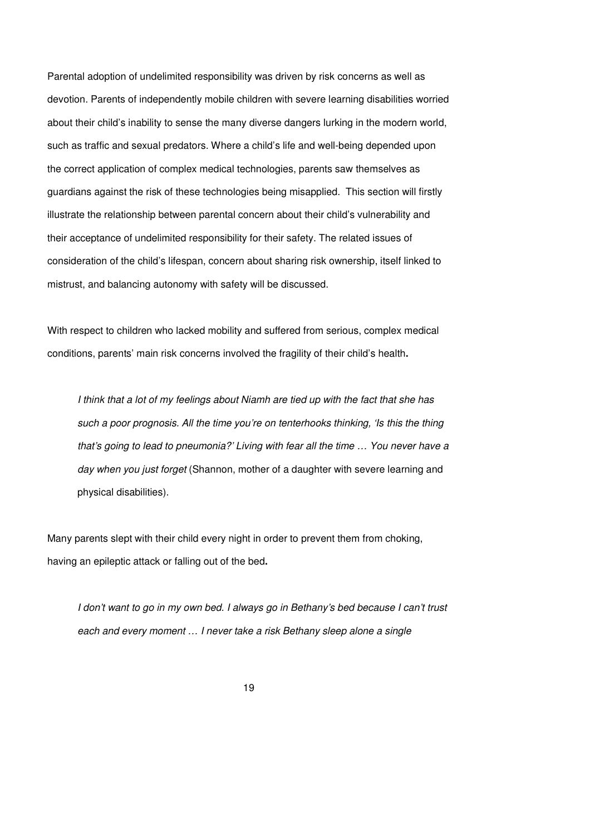Parental adoption of undelimited responsibility was driven by risk concerns as well as devotion. Parents of independently mobile children with severe learning disabilities worried about their child's inability to sense the many diverse dangers lurking in the modern world, such as traffic and sexual predators. Where a child's life and well-being depended upon the correct application of complex medical technologies, parents saw themselves as guardians against the risk of these technologies being misapplied. This section will firstly illustrate the relationship between parental concern about their child's vulnerability and their acceptance of undelimited responsibility for their safety. The related issues of consideration of the child's lifespan, concern about sharing risk ownership, itself linked to mistrust, and balancing autonomy with safety will be discussed.

With respect to children who lacked mobility and suffered from serious, complex medical conditions, parents' main risk concerns involved the fragility of their child's health**.**

I think that a lot of my feelings about Niamh are tied up with the fact that she has such a poor prognosis. All the time you're on tenterhooks thinking, 'Is this the thing that's going to lead to pneumonia?' Living with fear all the time … You never have a day when you just forget (Shannon, mother of a daughter with severe learning and physical disabilities).

Many parents slept with their child every night in order to prevent them from choking, having an epileptic attack or falling out of the bed**.**

I don't want to go in my own bed. I always go in Bethany's bed because I can't trust each and every moment … I never take a risk Bethany sleep alone a single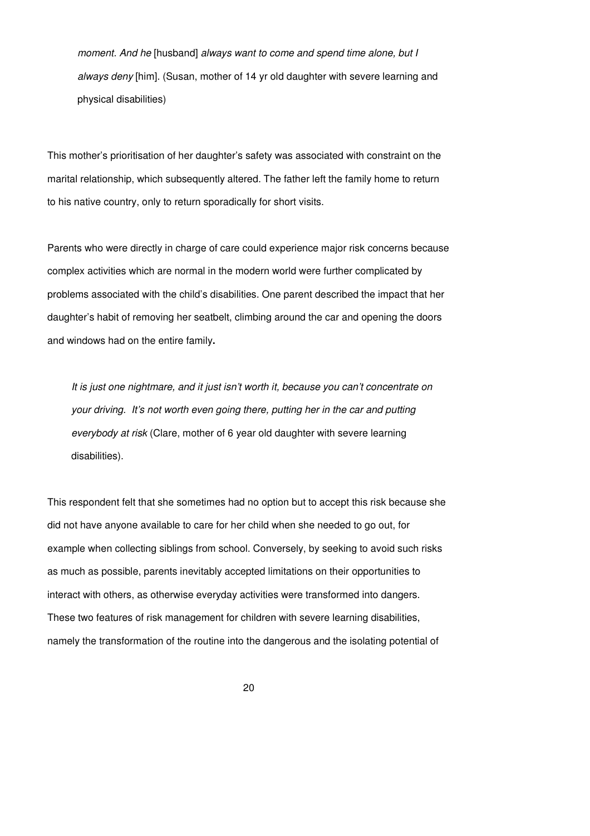moment. And he [husband] always want to come and spend time alone, but I always deny [him]. (Susan, mother of 14 yr old daughter with severe learning and physical disabilities)

This mother's prioritisation of her daughter's safety was associated with constraint on the marital relationship, which subsequently altered. The father left the family home to return to his native country, only to return sporadically for short visits.

Parents who were directly in charge of care could experience major risk concerns because complex activities which are normal in the modern world were further complicated by problems associated with the child's disabilities. One parent described the impact that her daughter's habit of removing her seatbelt, climbing around the car and opening the doors and windows had on the entire family**.**

It is just one nightmare, and it just isn't worth it, because you can't concentrate on your driving. It's not worth even going there, putting her in the car and putting everybody at risk (Clare, mother of 6 year old daughter with severe learning disabilities).

This respondent felt that she sometimes had no option but to accept this risk because she did not have anyone available to care for her child when she needed to go out, for example when collecting siblings from school. Conversely, by seeking to avoid such risks as much as possible, parents inevitably accepted limitations on their opportunities to interact with others, as otherwise everyday activities were transformed into dangers. These two features of risk management for children with severe learning disabilities, namely the transformation of the routine into the dangerous and the isolating potential of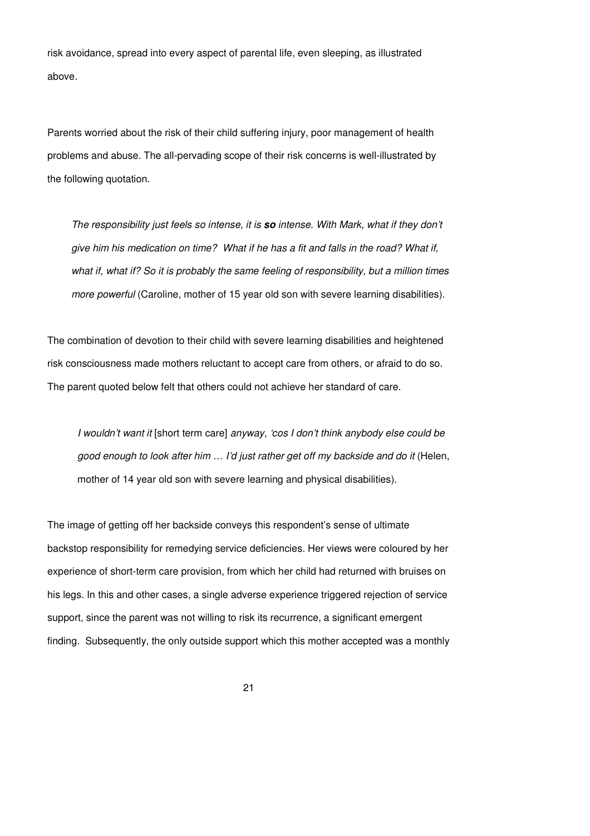risk avoidance, spread into every aspect of parental life, even sleeping, as illustrated above.

Parents worried about the risk of their child suffering injury, poor management of health problems and abuse. The all-pervading scope of their risk concerns is well-illustrated by the following quotation.

The responsibility just feels so intense, it is **so** intense. With Mark, what if they don't give him his medication on time? What if he has a fit and falls in the road? What if, what if, what if? So it is probably the same feeling of responsibility, but a million times more powerful (Caroline, mother of 15 year old son with severe learning disabilities).

The combination of devotion to their child with severe learning disabilities and heightened risk consciousness made mothers reluctant to accept care from others, or afraid to do so. The parent quoted below felt that others could not achieve her standard of care.

I wouldn't want it [short term care] anyway, 'cos I don't think anybody else could be good enough to look after him … I'd just rather get off my backside and do it (Helen, mother of 14 year old son with severe learning and physical disabilities).

The image of getting off her backside conveys this respondent's sense of ultimate backstop responsibility for remedying service deficiencies. Her views were coloured by her experience of short-term care provision, from which her child had returned with bruises on his legs. In this and other cases, a single adverse experience triggered rejection of service support, since the parent was not willing to risk its recurrence, a significant emergent finding. Subsequently, the only outside support which this mother accepted was a monthly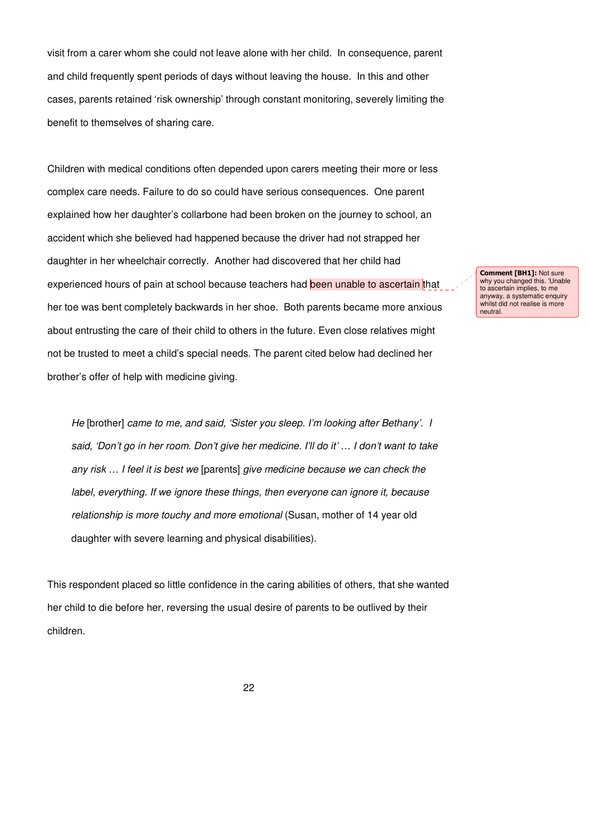visit from a carer whom she could not leave alone with her child. In consequence, parent and child frequently spent periods of days without leaving the house. In this and other cases, parents retained 'risk ownership' through constant monitoring, severely limiting the benefit to themselves of sharing care.

Children with medical conditions often depended upon carers meeting their more or less complex care needs. Failure to do so could have serious consequences. One parent explained how her daughter's collarbone had been broken on the journey to school, an accident which she believed had happened because the driver had not strapped her daughter in her wheelchair correctly. Another had discovered that her child had experienced hours of pain at school because teachers had been unable to ascertain that her toe was bent completely backwards in her shoe. Both parents became more anxious about entrusting the care of their child to others in the future. Even close relatives might not be trusted to meet a child's special needs. The parent cited below had declined her brother's offer of help with medicine giving.

He [brother] came to me, and said, 'Sister you sleep. I'm looking after Bethany'. I said, 'Don't go in her room. Don't give her medicine. I'll do it' … I don't want to take any risk … I feel it is best we [parents] give medicine because we can check the label, everything. If we ignore these things, then everyone can ignore it, because relationship is more touchy and more emotional (Susan, mother of 14 year old daughter with severe learning and physical disabilities).

This respondent placed so little confidence in the caring abilities of others, that she wanted her child to die before her, reversing the usual desire of parents to be outlived by their children.

Comment [BH1]: Not sure why you changed this. 'Unable to ascertain implies, to me anyway, a systematic enquiry whilst did not realise is more neutral.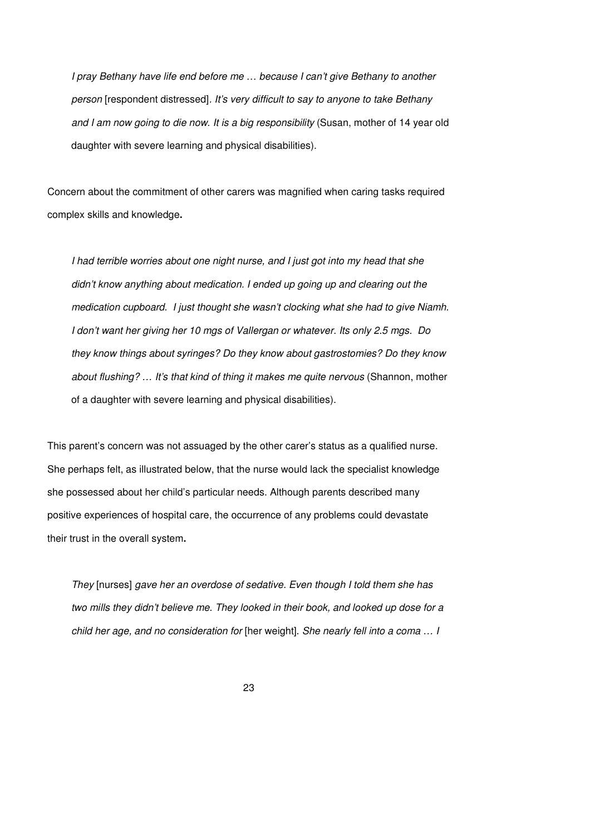I pray Bethany have life end before me … because I can't give Bethany to another person [respondent distressed]. It's very difficult to say to anyone to take Bethany and I am now going to die now. It is a big responsibility (Susan, mother of 14 year old daughter with severe learning and physical disabilities).

Concern about the commitment of other carers was magnified when caring tasks required complex skills and knowledge**.** 

I had terrible worries about one night nurse, and I just got into my head that she didn't know anything about medication. I ended up going up and clearing out the medication cupboard. I just thought she wasn't clocking what she had to give Niamh. I don't want her giving her 10 mgs of Vallergan or whatever. Its only 2.5 mgs. Do they know things about syringes? Do they know about gastrostomies? Do they know about flushing? … It's that kind of thing it makes me quite nervous (Shannon, mother of a daughter with severe learning and physical disabilities).

This parent's concern was not assuaged by the other carer's status as a qualified nurse. She perhaps felt, as illustrated below, that the nurse would lack the specialist knowledge she possessed about her child's particular needs. Although parents described many positive experiences of hospital care, the occurrence of any problems could devastate their trust in the overall system**.**

They [nurses] gave her an overdose of sedative. Even though I told them she has two mills they didn't believe me. They looked in their book, and looked up dose for a child her age, and no consideration for [her weight]. She nearly fell into a coma … I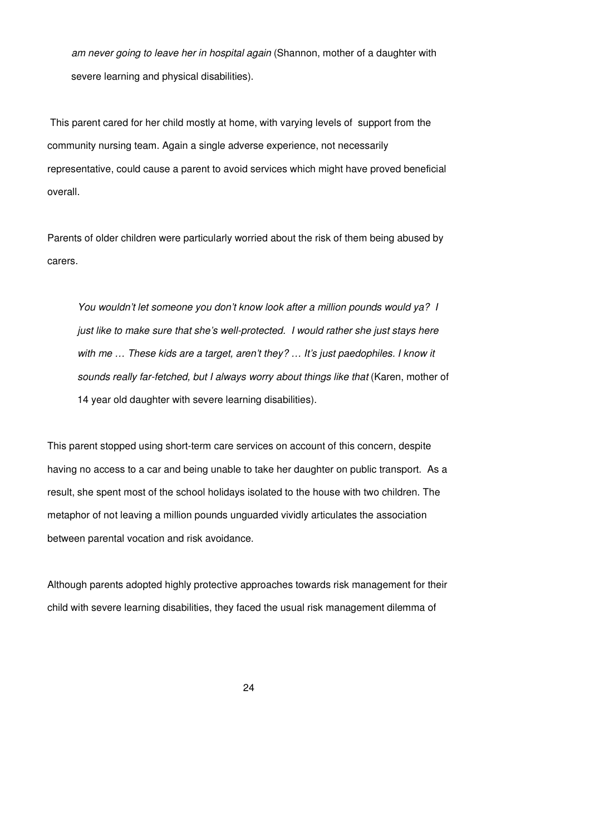am never going to leave her in hospital again (Shannon, mother of a daughter with severe learning and physical disabilities).

 This parent cared for her child mostly at home, with varying levels of support from the community nursing team. Again a single adverse experience, not necessarily representative, could cause a parent to avoid services which might have proved beneficial overall.

Parents of older children were particularly worried about the risk of them being abused by carers.

You wouldn't let someone you don't know look after a million pounds would ya? I just like to make sure that she's well-protected. I would rather she just stays here with me ... These kids are a target, aren't they? ... It's just paedophiles. I know it sounds really far-fetched, but I always worry about things like that (Karen, mother of 14 year old daughter with severe learning disabilities).

This parent stopped using short-term care services on account of this concern, despite having no access to a car and being unable to take her daughter on public transport. As a result, she spent most of the school holidays isolated to the house with two children. The metaphor of not leaving a million pounds unguarded vividly articulates the association between parental vocation and risk avoidance.

Although parents adopted highly protective approaches towards risk management for their child with severe learning disabilities, they faced the usual risk management dilemma of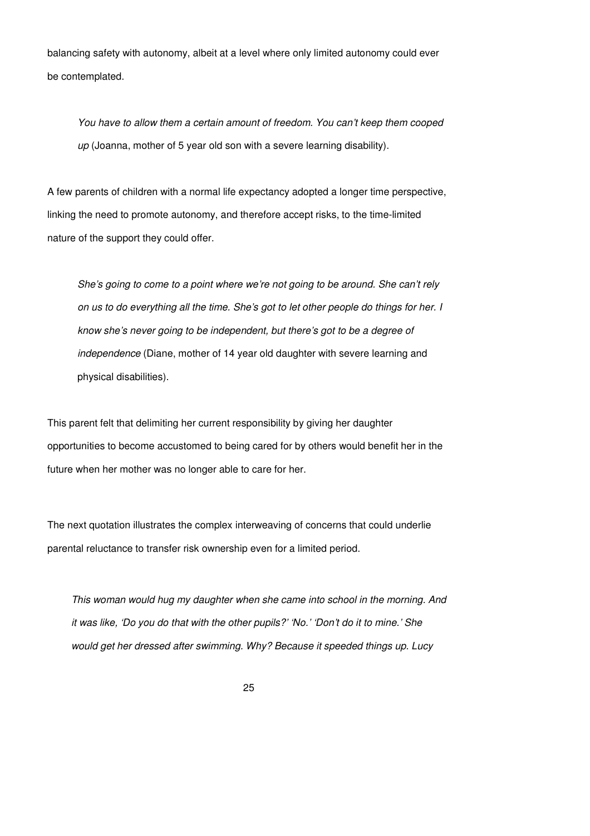balancing safety with autonomy, albeit at a level where only limited autonomy could ever be contemplated.

You have to allow them a certain amount of freedom. You can't keep them cooped up (Joanna, mother of 5 year old son with a severe learning disability).

A few parents of children with a normal life expectancy adopted a longer time perspective, linking the need to promote autonomy, and therefore accept risks, to the time-limited nature of the support they could offer.

She's going to come to a point where we're not going to be around. She can't rely on us to do everything all the time. She's got to let other people do things for her. I know she's never going to be independent, but there's got to be a degree of independence (Diane, mother of 14 year old daughter with severe learning and physical disabilities).

This parent felt that delimiting her current responsibility by giving her daughter opportunities to become accustomed to being cared for by others would benefit her in the future when her mother was no longer able to care for her.

The next quotation illustrates the complex interweaving of concerns that could underlie parental reluctance to transfer risk ownership even for a limited period.

This woman would hug my daughter when she came into school in the morning. And it was like, 'Do you do that with the other pupils?' 'No.' 'Don't do it to mine.' She would get her dressed after swimming. Why? Because it speeded things up. Lucy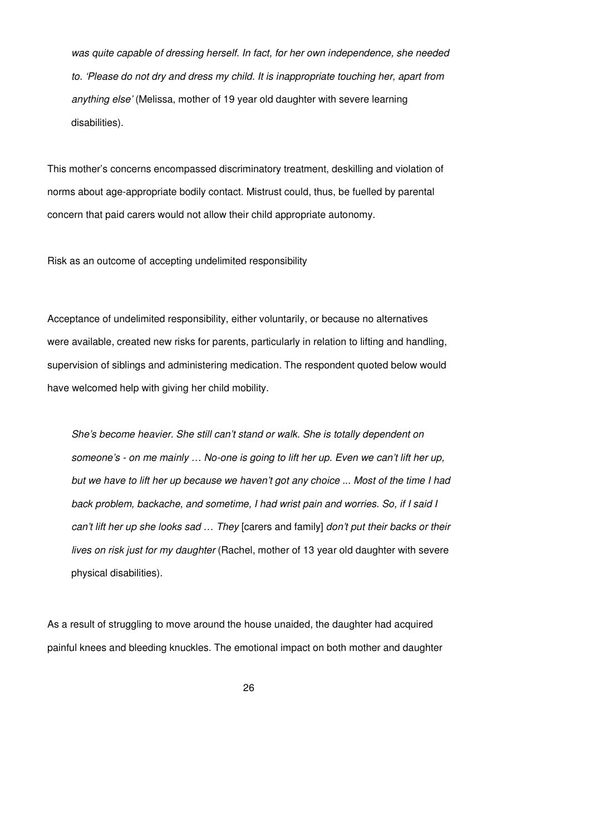was quite capable of dressing herself. In fact, for her own independence, she needed to. 'Please do not dry and dress my child. It is inappropriate touching her, apart from anything else' (Melissa, mother of 19 year old daughter with severe learning disabilities).

This mother's concerns encompassed discriminatory treatment, deskilling and violation of norms about age-appropriate bodily contact. Mistrust could, thus, be fuelled by parental concern that paid carers would not allow their child appropriate autonomy.

Risk as an outcome of accepting undelimited responsibility

Acceptance of undelimited responsibility, either voluntarily, or because no alternatives were available, created new risks for parents, particularly in relation to lifting and handling, supervision of siblings and administering medication. The respondent quoted below would have welcomed help with giving her child mobility.

She's become heavier. She still can't stand or walk. She is totally dependent on someone's - on me mainly … No-one is going to lift her up. Even we can't lift her up, but we have to lift her up because we haven't got any choice ... Most of the time I had back problem, backache, and sometime, I had wrist pain and worries. So, if I said I can't lift her up she looks sad … They [carers and family] don't put their backs or their lives on risk just for my daughter (Rachel, mother of 13 year old daughter with severe physical disabilities).

As a result of struggling to move around the house unaided, the daughter had acquired painful knees and bleeding knuckles. The emotional impact on both mother and daughter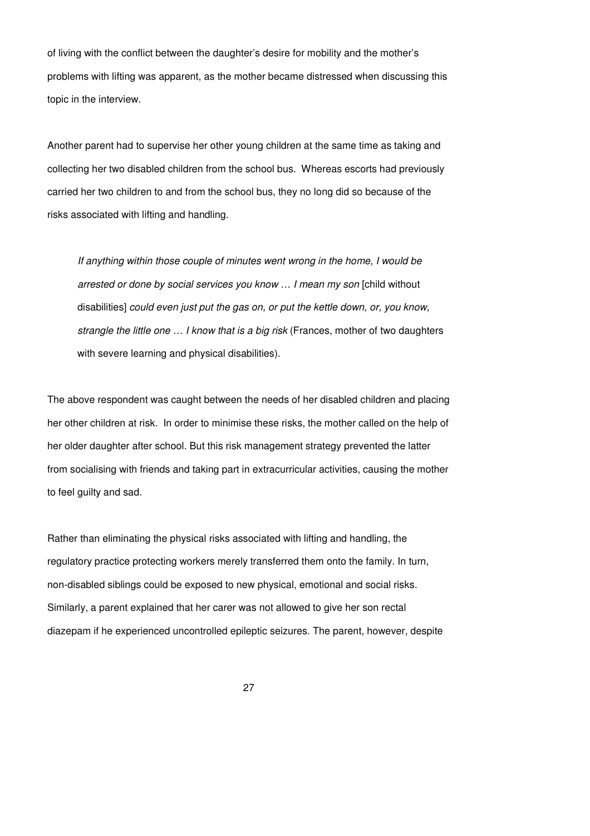of living with the conflict between the daughter's desire for mobility and the mother's problems with lifting was apparent, as the mother became distressed when discussing this topic in the interview.

Another parent had to supervise her other young children at the same time as taking and collecting her two disabled children from the school bus. Whereas escorts had previously carried her two children to and from the school bus, they no long did so because of the risks associated with lifting and handling.

If anything within those couple of minutes went wrong in the home, I would be arrested or done by social services you know … I mean my son [child without disabilities] could even just put the gas on, or put the kettle down, or, you know, strangle the little one ... I know that is a big risk (Frances, mother of two daughters with severe learning and physical disabilities).

The above respondent was caught between the needs of her disabled children and placing her other children at risk. In order to minimise these risks, the mother called on the help of her older daughter after school. But this risk management strategy prevented the latter from socialising with friends and taking part in extracurricular activities, causing the mother to feel guilty and sad.

Rather than eliminating the physical risks associated with lifting and handling, the regulatory practice protecting workers merely transferred them onto the family. In turn, non-disabled siblings could be exposed to new physical, emotional and social risks. Similarly, a parent explained that her carer was not allowed to give her son rectal diazepam if he experienced uncontrolled epileptic seizures. The parent, however, despite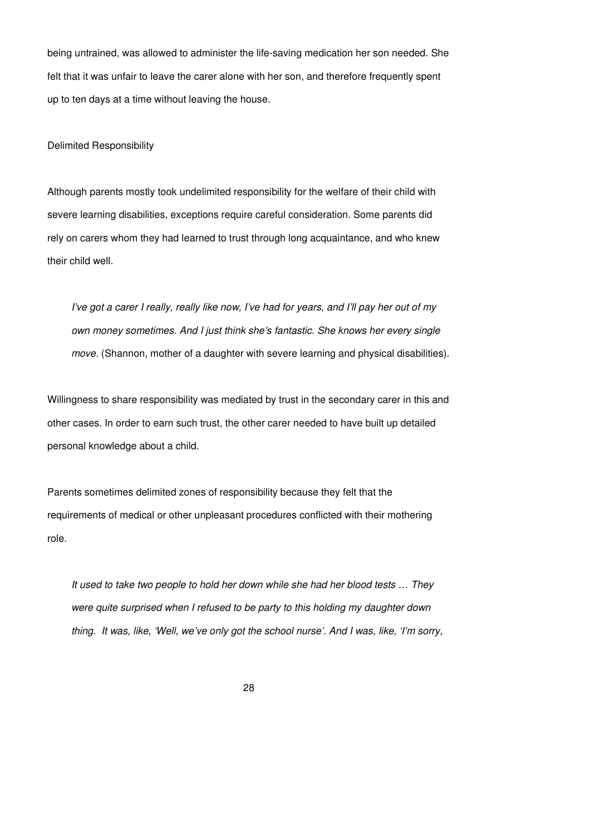being untrained, was allowed to administer the life-saving medication her son needed. She felt that it was unfair to leave the carer alone with her son, and therefore frequently spent up to ten days at a time without leaving the house.

Delimited Responsibility

Although parents mostly took undelimited responsibility for the welfare of their child with severe learning disabilities, exceptions require careful consideration. Some parents did rely on carers whom they had learned to trust through long acquaintance, and who knew their child well.

I've got a carer I really, really like now, I've had for years, and I'll pay her out of my own money sometimes. And I just think she's fantastic. She knows her every single move. (Shannon, mother of a daughter with severe learning and physical disabilities).

Willingness to share responsibility was mediated by trust in the secondary carer in this and other cases. In order to earn such trust, the other carer needed to have built up detailed personal knowledge about a child.

Parents sometimes delimited zones of responsibility because they felt that the requirements of medical or other unpleasant procedures conflicted with their mothering role.

It used to take two people to hold her down while she had her blood tests … They were quite surprised when I refused to be party to this holding my daughter down thing. It was, like, 'Well, we've only got the school nurse'. And I was, like, 'I'm sorry,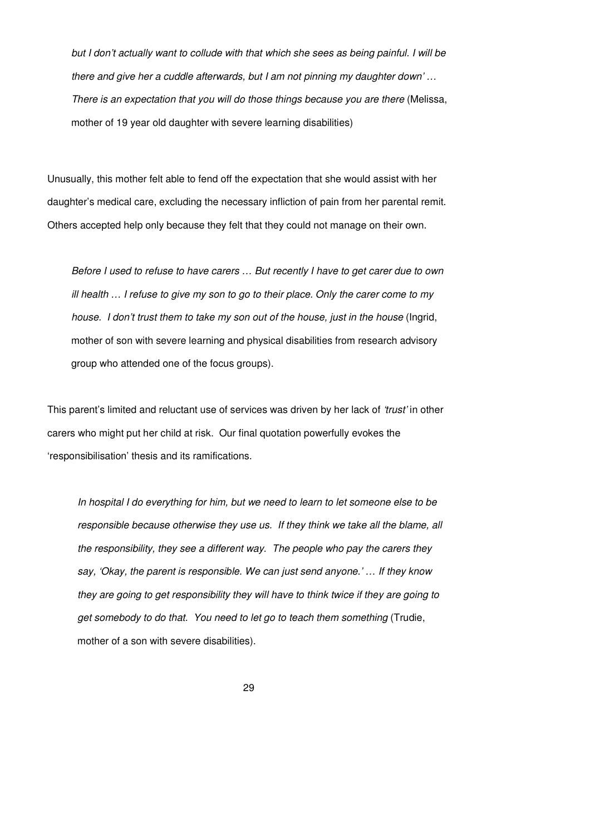but I don't actually want to collude with that which she sees as being painful. I will be there and give her a cuddle afterwards, but I am not pinning my daughter down' … There is an expectation that you will do those things because you are there (Melissa, mother of 19 year old daughter with severe learning disabilities)

Unusually, this mother felt able to fend off the expectation that she would assist with her daughter's medical care, excluding the necessary infliction of pain from her parental remit. Others accepted help only because they felt that they could not manage on their own.

Before I used to refuse to have carers … But recently I have to get carer due to own ill health … I refuse to give my son to go to their place. Only the carer come to my house. I don't trust them to take my son out of the house, just in the house (Ingrid, mother of son with severe learning and physical disabilities from research advisory group who attended one of the focus groups).

This parent's limited and reluctant use of services was driven by her lack of 'trust' in other carers who might put her child at risk. Our final quotation powerfully evokes the 'responsibilisation' thesis and its ramifications.

In hospital I do everything for him, but we need to learn to let someone else to be responsible because otherwise they use us. If they think we take all the blame, all the responsibility, they see a different way. The people who pay the carers they say, 'Okay, the parent is responsible. We can just send anyone.' … If they know they are going to get responsibility they will have to think twice if they are going to get somebody to do that. You need to let go to teach them something (Trudie, mother of a son with severe disabilities).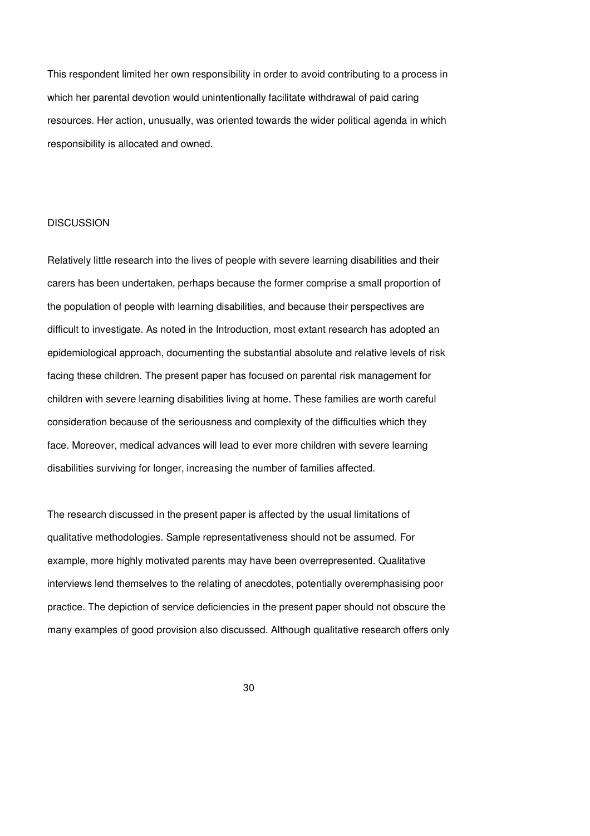This respondent limited her own responsibility in order to avoid contributing to a process in which her parental devotion would unintentionally facilitate withdrawal of paid caring resources. Her action, unusually, was oriented towards the wider political agenda in which responsibility is allocated and owned.

#### **DISCUSSION**

Relatively little research into the lives of people with severe learning disabilities and their carers has been undertaken, perhaps because the former comprise a small proportion of the population of people with learning disabilities, and because their perspectives are difficult to investigate. As noted in the Introduction, most extant research has adopted an epidemiological approach, documenting the substantial absolute and relative levels of risk facing these children. The present paper has focused on parental risk management for children with severe learning disabilities living at home. These families are worth careful consideration because of the seriousness and complexity of the difficulties which they face. Moreover, medical advances will lead to ever more children with severe learning disabilities surviving for longer, increasing the number of families affected.

The research discussed in the present paper is affected by the usual limitations of qualitative methodologies. Sample representativeness should not be assumed. For example, more highly motivated parents may have been overrepresented. Qualitative interviews lend themselves to the relating of anecdotes, potentially overemphasising poor practice. The depiction of service deficiencies in the present paper should not obscure the many examples of good provision also discussed. Although qualitative research offers only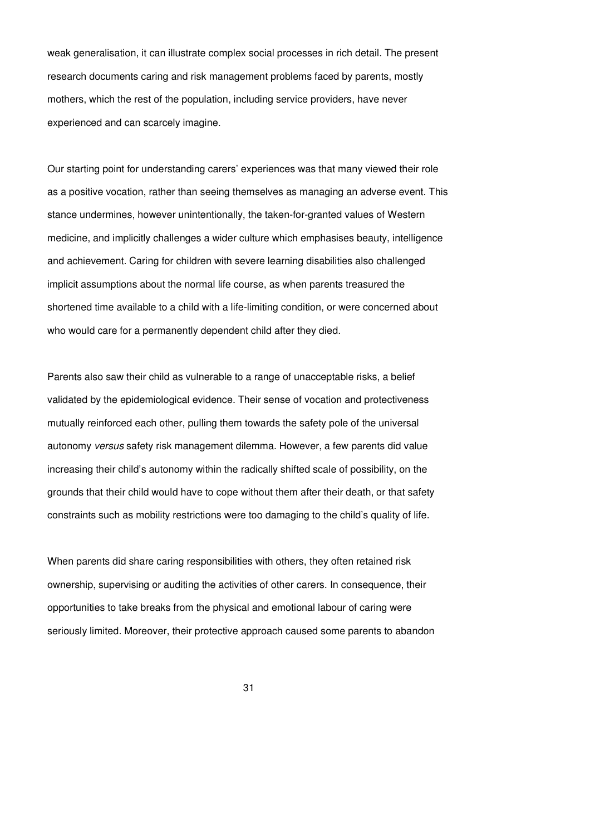weak generalisation, it can illustrate complex social processes in rich detail. The present research documents caring and risk management problems faced by parents, mostly mothers, which the rest of the population, including service providers, have never experienced and can scarcely imagine.

Our starting point for understanding carers' experiences was that many viewed their role as a positive vocation, rather than seeing themselves as managing an adverse event. This stance undermines, however unintentionally, the taken-for-granted values of Western medicine, and implicitly challenges a wider culture which emphasises beauty, intelligence and achievement. Caring for children with severe learning disabilities also challenged implicit assumptions about the normal life course, as when parents treasured the shortened time available to a child with a life-limiting condition, or were concerned about who would care for a permanently dependent child after they died.

Parents also saw their child as vulnerable to a range of unacceptable risks, a belief validated by the epidemiological evidence. Their sense of vocation and protectiveness mutually reinforced each other, pulling them towards the safety pole of the universal autonomy versus safety risk management dilemma. However, a few parents did value increasing their child's autonomy within the radically shifted scale of possibility, on the grounds that their child would have to cope without them after their death, or that safety constraints such as mobility restrictions were too damaging to the child's quality of life.

When parents did share caring responsibilities with others, they often retained risk ownership, supervising or auditing the activities of other carers. In consequence, their opportunities to take breaks from the physical and emotional labour of caring were seriously limited. Moreover, their protective approach caused some parents to abandon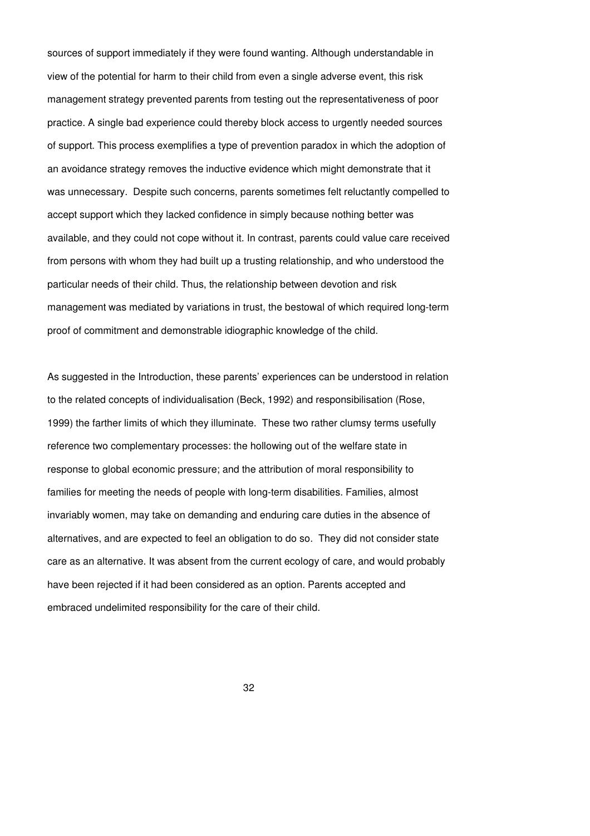sources of support immediately if they were found wanting. Although understandable in view of the potential for harm to their child from even a single adverse event, this risk management strategy prevented parents from testing out the representativeness of poor practice. A single bad experience could thereby block access to urgently needed sources of support. This process exemplifies a type of prevention paradox in which the adoption of an avoidance strategy removes the inductive evidence which might demonstrate that it was unnecessary. Despite such concerns, parents sometimes felt reluctantly compelled to accept support which they lacked confidence in simply because nothing better was available, and they could not cope without it. In contrast, parents could value care received from persons with whom they had built up a trusting relationship, and who understood the particular needs of their child. Thus, the relationship between devotion and risk management was mediated by variations in trust, the bestowal of which required long-term proof of commitment and demonstrable idiographic knowledge of the child.

As suggested in the Introduction, these parents' experiences can be understood in relation to the related concepts of individualisation (Beck, 1992) and responsibilisation (Rose, 1999) the farther limits of which they illuminate. These two rather clumsy terms usefully reference two complementary processes: the hollowing out of the welfare state in response to global economic pressure; and the attribution of moral responsibility to families for meeting the needs of people with long-term disabilities. Families, almost invariably women, may take on demanding and enduring care duties in the absence of alternatives, and are expected to feel an obligation to do so. They did not consider state care as an alternative. It was absent from the current ecology of care, and would probably have been rejected if it had been considered as an option. Parents accepted and embraced undelimited responsibility for the care of their child.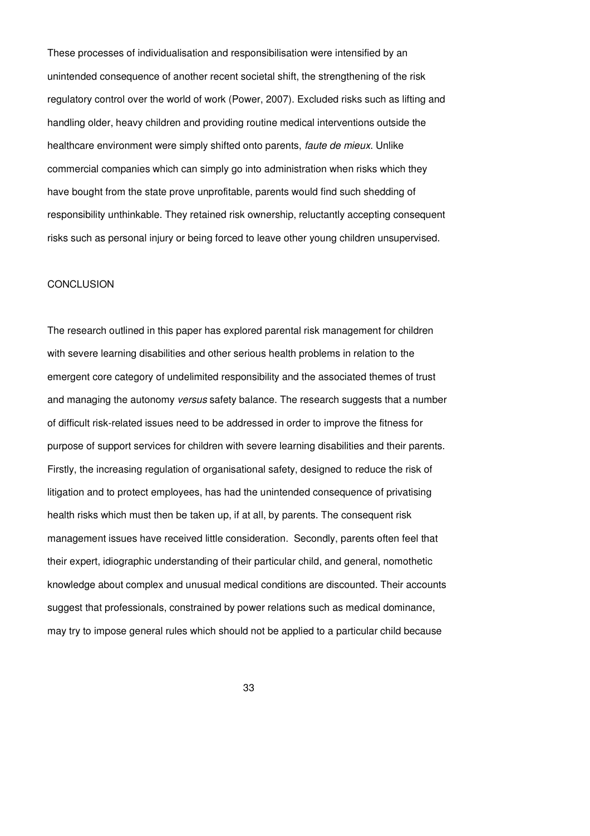These processes of individualisation and responsibilisation were intensified by an unintended consequence of another recent societal shift, the strengthening of the risk regulatory control over the world of work (Power, 2007). Excluded risks such as lifting and handling older, heavy children and providing routine medical interventions outside the healthcare environment were simply shifted onto parents, *faute de mieux*. Unlike commercial companies which can simply go into administration when risks which they have bought from the state prove unprofitable, parents would find such shedding of responsibility unthinkable. They retained risk ownership, reluctantly accepting consequent risks such as personal injury or being forced to leave other young children unsupervised.

#### **CONCLUSION**

The research outlined in this paper has explored parental risk management for children with severe learning disabilities and other serious health problems in relation to the emergent core category of undelimited responsibility and the associated themes of trust and managing the autonomy versus safety balance. The research suggests that a number of difficult risk-related issues need to be addressed in order to improve the fitness for purpose of support services for children with severe learning disabilities and their parents. Firstly, the increasing regulation of organisational safety, designed to reduce the risk of litigation and to protect employees, has had the unintended consequence of privatising health risks which must then be taken up, if at all, by parents. The consequent risk management issues have received little consideration. Secondly, parents often feel that their expert, idiographic understanding of their particular child, and general, nomothetic knowledge about complex and unusual medical conditions are discounted. Their accounts suggest that professionals, constrained by power relations such as medical dominance, may try to impose general rules which should not be applied to a particular child because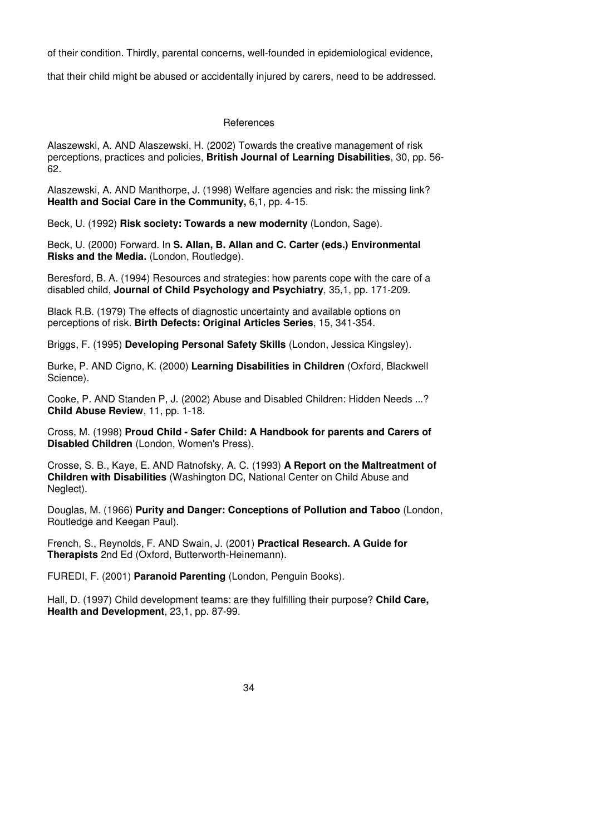of their condition. Thirdly, parental concerns, well-founded in epidemiological evidence,

that their child might be abused or accidentally injured by carers, need to be addressed.

### References

Alaszewski, A. AND Alaszewski, H. (2002) Towards the creative management of risk perceptions, practices and policies, **British Journal of Learning Disabilities**, 30, pp. 56- 62.

Alaszewski, A. AND Manthorpe, J. (1998) Welfare agencies and risk: the missing link? **Health and Social Care in the Community,** 6,1, pp. 4-15.

Beck, U. (1992) **Risk society: Towards a new modernity** (London, Sage).

Beck, U. (2000) Forward. In **S. Allan, B. Allan and C. Carter (eds.) Environmental Risks and the Media.** (London, Routledge).

Beresford, B. A. (1994) Resources and strategies: how parents cope with the care of a disabled child, **Journal of Child Psychology and Psychiatry**, 35,1, pp. 171-209.

Black R.B. (1979) The effects of diagnostic uncertainty and available options on perceptions of risk. **Birth Defects: Original Articles Series**, 15, 341-354.

Briggs, F. (1995) **Developing Personal Safety Skills** (London, Jessica Kingsley).

Burke, P. AND Cigno, K. (2000) **Learning Disabilities in Children** (Oxford, Blackwell Science).

Cooke, P. AND Standen P, J. (2002) Abuse and Disabled Children: Hidden Needs ...? **Child Abuse Review**, 11, pp. 1-18.

Cross, M. (1998) **Proud Child - Safer Child: A Handbook for parents and Carers of Disabled Children** (London, Women's Press).

Crosse, S. B., Kaye, E. AND Ratnofsky, A. C. (1993) **A Report on the Maltreatment of Children with Disabilities** (Washington DC, National Center on Child Abuse and Neglect).

Douglas, M. (1966) **Purity and Danger: Conceptions of Pollution and Taboo** (London, Routledge and Keegan Paul).

French, S., Reynolds, F. AND Swain, J. (2001) **Practical Research. A Guide for Therapists** 2nd Ed (Oxford, Butterworth-Heinemann).

FUREDI, F. (2001) **Paranoid Parenting** (London, Penguin Books).

Hall, D. (1997) Child development teams: are they fulfilling their purpose? **Child Care, Health and Development**, 23,1, pp. 87-99.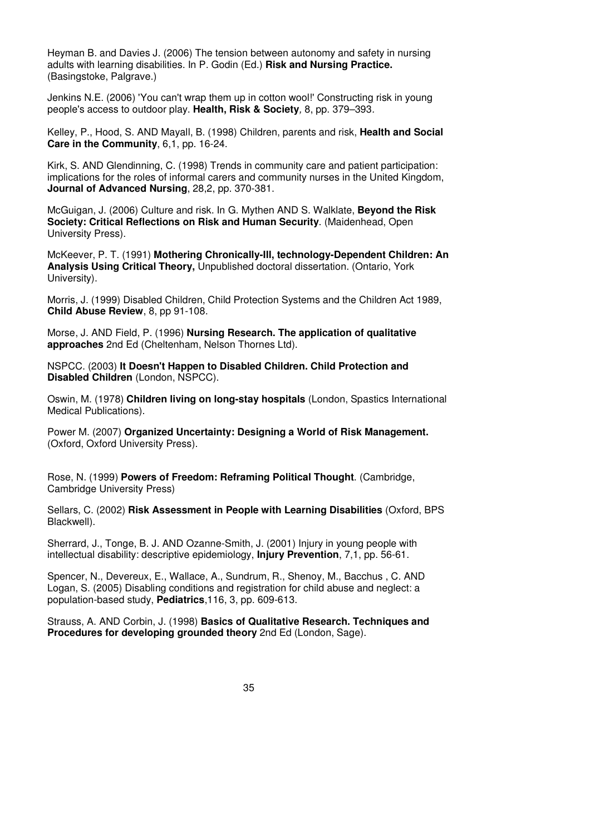Heyman B. and Davies J. (2006) The tension between autonomy and safety in nursing adults with learning disabilities. In P. Godin (Ed.) **Risk and Nursing Practice.**  (Basingstoke, Palgrave.)

Jenkins N.E. (2006) 'You can't wrap them up in cotton wool!' Constructing risk in young people's access to outdoor play. **Health, Risk & Society**, 8, pp. 379–393.

Kelley, P., Hood, S. AND Mayall, B. (1998) Children, parents and risk, **Health and Social Care in the Community**, 6,1, pp. 16-24.

Kirk, S. AND Glendinning, C. (1998) Trends in community care and patient participation: implications for the roles of informal carers and community nurses in the United Kingdom, **Journal of Advanced Nursing**, 28,2, pp. 370-381.

McGuigan, J. (2006) Culture and risk. In G. Mythen AND S. Walklate, **Beyond the Risk Society: Critical Reflections on Risk and Human Security**. (Maidenhead, Open University Press).

McKeever, P. T. (1991) **Mothering Chronically-Ill, technology-Dependent Children: An Analysis Using Critical Theory,** Unpublished doctoral dissertation. (Ontario, York University).

Morris, J. (1999) Disabled Children, Child Protection Systems and the Children Act 1989, **Child Abuse Review**, 8, pp 91-108.

Morse, J. AND Field, P. (1996) **Nursing Research. The application of qualitative approaches** 2nd Ed (Cheltenham, Nelson Thornes Ltd).

NSPCC. (2003) **It Doesn't Happen to Disabled Children. Child Protection and Disabled Children** (London, NSPCC).

Oswin, M. (1978) **Children living on long-stay hospitals** (London, Spastics International Medical Publications).

Power M. (2007) **Organized Uncertainty: Designing a World of Risk Management.** (Oxford, Oxford University Press).

Rose, N. (1999) **Powers of Freedom: Reframing Political Thought**. (Cambridge, Cambridge University Press)

Sellars, C. (2002) **Risk Assessment in People with Learning Disabilities** (Oxford, BPS Blackwell).

Sherrard, J., Tonge, B. J. AND Ozanne-Smith, J. (2001) Injury in young people with intellectual disability: descriptive epidemiology, **Injury Prevention**, 7,1, pp. 56-61.

Spencer, N., Devereux, E., Wallace, A., Sundrum, R., Shenoy, M., Bacchus , C. AND Logan, S. (2005) Disabling conditions and registration for child abuse and neglect: a population-based study, **Pediatrics**,116, 3, pp. 609-613.

Strauss, A. AND Corbin, J. (1998) **Basics of Qualitative Research. Techniques and Procedures for developing grounded theory** 2nd Ed (London, Sage).